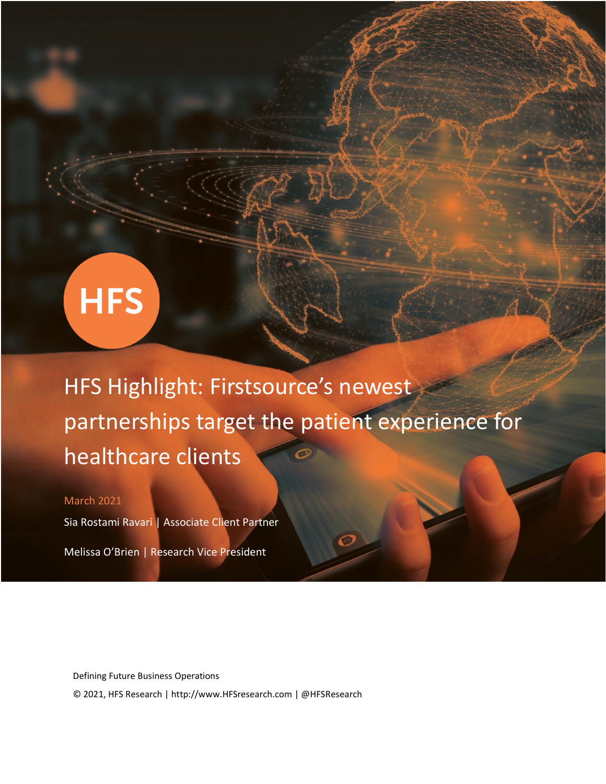# **HFS**

HFS Highlight: Firstsource's newest partnerships target the patient experience for healthcare clients

## March 2021

Sia Rostami Ravari | Associate Client Partner

Melissa O'Brien | Research Vice President

Defining Future Business Operations © 2021, HFS Research | http://www.HFSresearch.com | @HFSResearch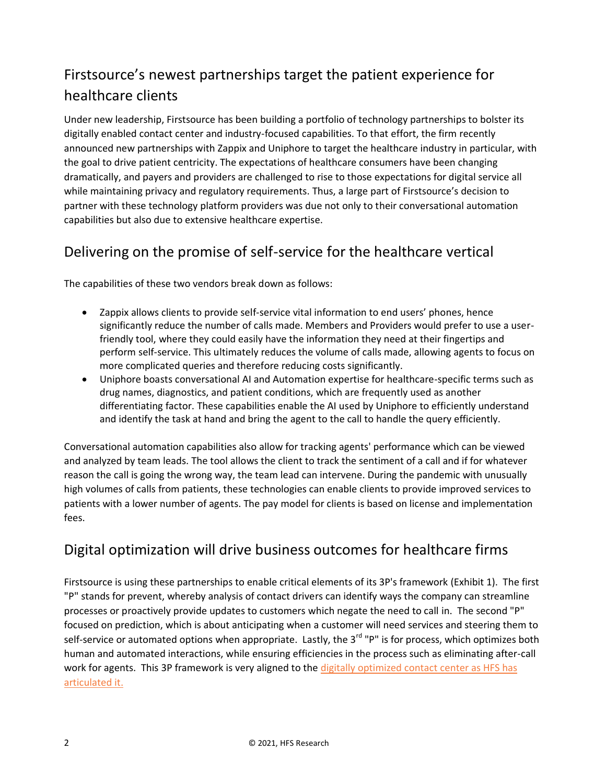# Firstsource's newest partnerships target the patient experience for healthcare clients

Under new leadership, Firstsource has been building a portfolio of technology partnerships to bolster its digitally enabled contact center and industry-focused capabilities. To that effort, the firm recently announced new partnerships with Zappix and Uniphore to target the healthcare industry in particular, with the goal to drive patient centricity. The expectations of healthcare consumers have been changing dramatically, and payers and providers are challenged to rise to those expectations for digital service all while maintaining privacy and regulatory requirements. Thus, a large part of Firstsource's decision to partner with these technology platform providers was due not only to their conversational automation capabilities but also due to extensive healthcare expertise.

# Delivering on the promise of self-service for the healthcare vertical

The capabilities of these two vendors break down as follows:

- Zappix allows clients to provide self-service vital information to end users' phones, hence significantly reduce the number of calls made. Members and Providers would prefer to use a userfriendly tool, where they could easily have the information they need at their fingertips and perform self-service. This ultimately reduces the volume of calls made, allowing agents to focus on more complicated queries and therefore reducing costs significantly.
- Uniphore boasts conversational AI and Automation expertise for healthcare-specific terms such as drug names, diagnostics, and patient conditions, which are frequently used as another differentiating factor. These capabilities enable the AI used by Uniphore to efficiently understand and identify the task at hand and bring the agent to the call to handle the query efficiently.

Conversational automation capabilities also allow for tracking agents' performance which can be viewed and analyzed by team leads. The tool allows the client to track the sentiment of a call and if for whatever reason the call is going the wrong way, the team lead can intervene. During the pandemic with unusually high volumes of calls from patients, these technologies can enable clients to provide improved services to patients with a lower number of agents. The pay model for clients is based on license and implementation fees.

# Digital optimization will drive business outcomes for healthcare firms

Firstsource is using these partnerships to enable critical elements of its 3P's framework (Exhibit 1). The first "P" stands for prevent, whereby analysis of contact drivers can identify ways the company can streamline processes or proactively provide updates to customers which negate the need to call in. The second "P" focused on prediction, which is about anticipating when a customer will need services and steering them to self-service or automated options when appropriate. Lastly, the 3<sup>rd</sup> "P" is for process, which optimizes both human and automated interactions, while ensuring efficiencies in the process such as eliminating after-call work for agents. This 3P framework is very aligned to the digitally optimized contact center as HFS has [articulated it.](https://www.hfsresearch.com/research/will-covid-19-put-the-nail-in-the-coffin-of-the-legacy-contact-center/)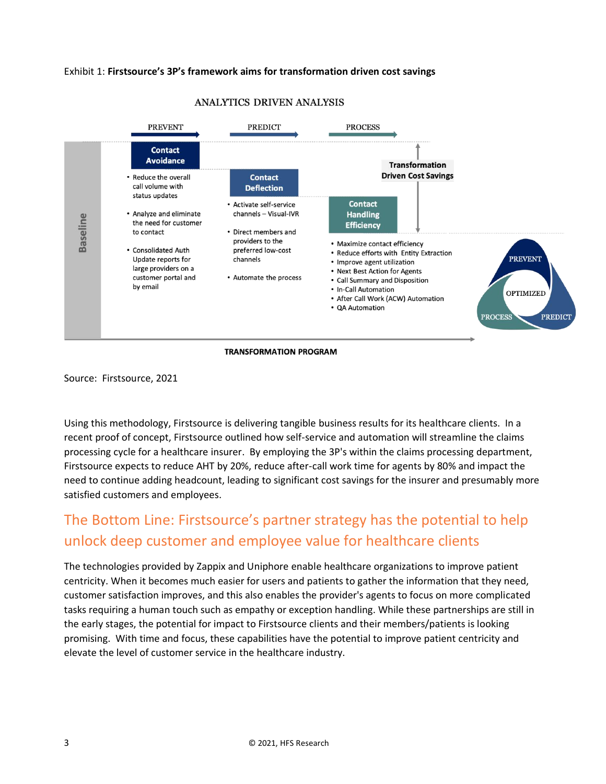## Exhibit 1: **Firstsource's 3P's framework aims for transformation driven cost savings**



### ANALYTICS DRIVEN ANALYSIS

#### **TRANSFORMATION PROGRAM**

Source: Firstsource, 2021

Using this methodology, Firstsource is delivering tangible business results for its healthcare clients. In a recent proof of concept, Firstsource outlined how self-service and automation will streamline the claims processing cycle for a healthcare insurer. By employing the 3P's within the claims processing department, Firstsource expects to reduce AHT by 20%, reduce after-call work time for agents by 80% and impact the need to continue adding headcount, leading to significant cost savings for the insurer and presumably more satisfied customers and employees.

# The Bottom Line: Firstsource's partner strategy has the potential to help unlock deep customer and employee value for healthcare clients

The technologies provided by Zappix and Uniphore enable healthcare organizations to improve patient centricity. When it becomes much easier for users and patients to gather the information that they need, customer satisfaction improves, and this also enables the provider's agents to focus on more complicated tasks requiring a human touch such as empathy or exception handling. While these partnerships are still in the early stages, the potential for impact to Firstsource clients and their members/patients is looking promising. With time and focus, these capabilities have the potential to improve patient centricity and elevate the level of customer service in the healthcare industry.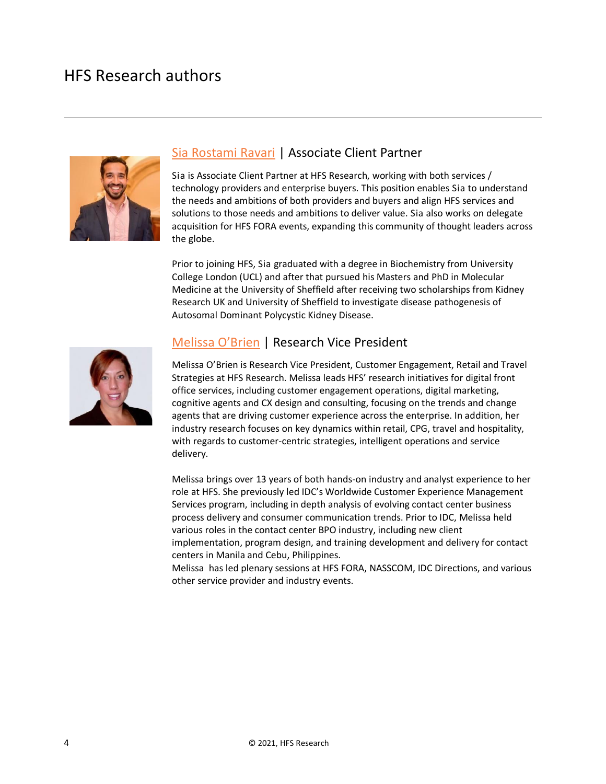# HFS Research authors



## [Sia Rostami Ravari](https://www.hfsresearch.com/team/sia-ravari/) | Associate Client Partner

Sia is Associate Client Partner at HFS Research, working with both services / technology providers and enterprise buyers. This position enables Sia to understand the needs and ambitions of both providers and buyers and align HFS services and solutions to those needs and ambitions to deliver value. Sia also works on delegate acquisition for HFS FORA events, expanding this community of thought leaders across the globe.

Prior to joining HFS, Sia graduated with a degree in Biochemistry from University College London (UCL) and after that pursued his Masters and PhD in Molecular Medicine at the University of Sheffield after receiving two scholarships from Kidney Research UK and University of Sheffield to investigate disease pathogenesis of Autosomal Dominant Polycystic Kidney Disease.



## [Melissa O'Brien](https://www.hfsresearch.com/analyst/melissa-obrien/) | Research Vice President

Melissa O'Brien is Research Vice President, Customer Engagement, Retail and Travel Strategies at HFS Research. Melissa leads HFS' research initiatives for digital front office services, including customer engagement operations, digital marketing, cognitive agents and CX design and consulting, focusing on the trends and change agents that are driving customer experience across the enterprise. In addition, her industry research focuses on key dynamics within retail, CPG, travel and hospitality, with regards to customer-centric strategies, intelligent operations and service delivery.

Melissa brings over 13 years of both hands-on industry and analyst experience to her role at HFS. She previously led IDC's Worldwide Customer Experience Management Services program, including in depth analysis of evolving contact center business process delivery and consumer communication trends. Prior to IDC, Melissa held various roles in the contact center BPO industry, including new client implementation, program design, and training development and delivery for contact centers in Manila and Cebu, Philippines.

Melissa has led plenary sessions at HFS FORA, NASSCOM, IDC Directions, and various other service provider and industry events.